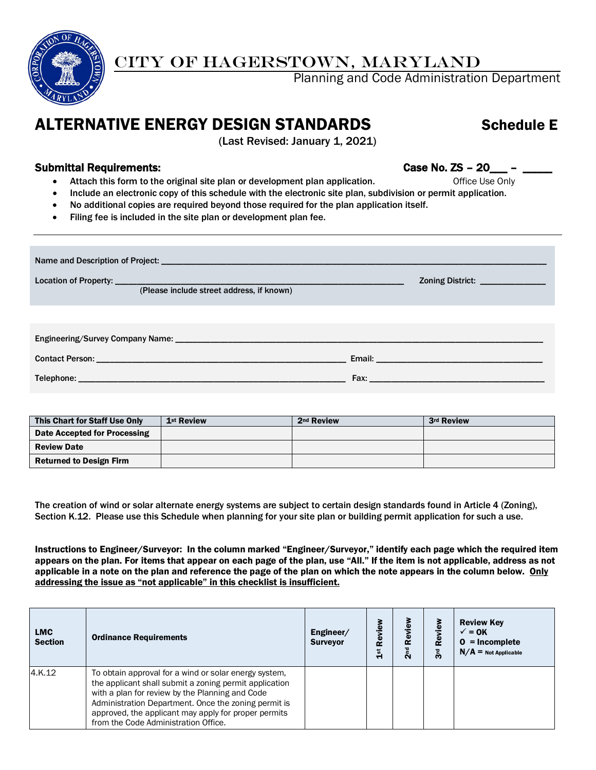

## CITY OF HAGERSTOWN, MARYLAND

Planning and Code Administration Department

## ALTERNATIVE ENERGY DESIGN STANDARDS Schedule E

(Last Revised: January 1, 2021)

## Submittal Requirements: Case No. ZS - 20\_\_\_ -

- Attach this form to the original site plan or development plan application. Office Use Only
- Include an electronic copy of this schedule with the electronic site plan, subdivision or permit application.
- No additional copies are required beyond those required for the plan application itself.
- Filing fee is included in the site plan or development plan fee.

| (Please include street address, if known) | Zoning District: _______________                                                                                                                                                                                               |
|-------------------------------------------|--------------------------------------------------------------------------------------------------------------------------------------------------------------------------------------------------------------------------------|
|                                           |                                                                                                                                                                                                                                |
|                                           | Fax: Exercise and the contract of the contract of the contract of the contract of the contract of the contract of the contract of the contract of the contract of the contract of the contract of the contract of the contract |

| This Chart for Staff Use Only  | 1 <sup>st</sup> Review | 2 <sup>nd</sup> Review | 3rd Review |
|--------------------------------|------------------------|------------------------|------------|
| Date Accepted for Processing   |                        |                        |            |
| <b>Review Date</b>             |                        |                        |            |
| <b>Returned to Design Firm</b> |                        |                        |            |

The creation of wind or solar alternate energy systems are subject to certain design standards found in Article 4 (Zoning), Section K.12. Please use this Schedule when planning for your site plan or building permit application for such a use.

Instructions to Engineer/Surveyor: In the column marked "Engineer/Surveyor," identify each page which the required item appears on the plan. For items that appear on each page of the plan, use "All." If the item is not applicable, address as not applicable in a note on the plan and reference the page of the plan on which the note appears in the column below. Only addressing the issue as "not applicable" in this checklist is insufficient.

| <b>LMC</b><br><b>Section</b> | <b>Ordinance Requirements</b>                                                                                                                                                                                                                                                                                              | Engineer/<br><b>Surveyor</b> | Review<br>$\frac{5}{14}$ | Review<br>2 <sup>nd</sup> | Review<br>3 <sub>rd</sub> | <b>Review Key</b><br>$\sqrt{}=$ OK<br>$0 = Incomplete$<br>$N/A =$ Not Applicable |
|------------------------------|----------------------------------------------------------------------------------------------------------------------------------------------------------------------------------------------------------------------------------------------------------------------------------------------------------------------------|------------------------------|--------------------------|---------------------------|---------------------------|----------------------------------------------------------------------------------|
| 4.K.12                       | To obtain approval for a wind or solar energy system,<br>the applicant shall submit a zoning permit application<br>with a plan for review by the Planning and Code<br>Administration Department. Once the zoning permit is<br>approved, the applicant may apply for proper permits<br>from the Code Administration Office. |                              |                          |                           |                           |                                                                                  |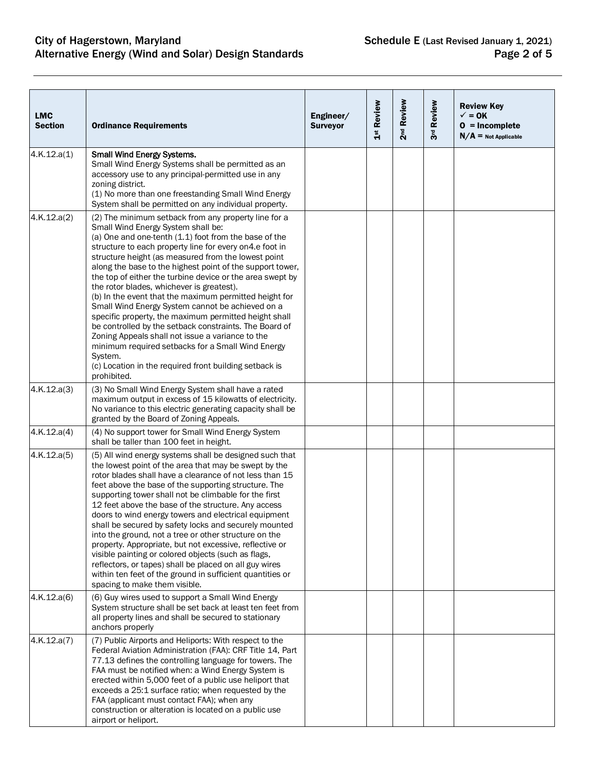| <b>LMC</b><br><b>Section</b> | <b>Ordinance Requirements</b>                                                                                                                                                                                                                                                                                                                                                                                                                                                                                                                                                                                                                                                                                                                                                                                                                                               | Engineer/<br><b>Surveyor</b> | 1st Review | 2 <sup>nd</sup> Review | 3rd Review | <b>Review Key</b><br>$\sqrt{}=$ OK<br>$0 = Incomplete$<br>$N/A$ = Not Applicable |
|------------------------------|-----------------------------------------------------------------------------------------------------------------------------------------------------------------------------------------------------------------------------------------------------------------------------------------------------------------------------------------------------------------------------------------------------------------------------------------------------------------------------------------------------------------------------------------------------------------------------------------------------------------------------------------------------------------------------------------------------------------------------------------------------------------------------------------------------------------------------------------------------------------------------|------------------------------|------------|------------------------|------------|----------------------------------------------------------------------------------|
| 4.K.12.a(1)                  | <b>Small Wind Energy Systems.</b><br>Small Wind Energy Systems shall be permitted as an<br>accessory use to any principal-permitted use in any<br>zoning district.<br>(1) No more than one freestanding Small Wind Energy<br>System shall be permitted on any individual property.                                                                                                                                                                                                                                                                                                                                                                                                                                                                                                                                                                                          |                              |            |                        |            |                                                                                  |
| 4.K.12.a(2)                  | (2) The minimum setback from any property line for a<br>Small Wind Energy System shall be:<br>(a) One and one-tenth (1.1) foot from the base of the<br>structure to each property line for every on 4.e foot in<br>structure height (as measured from the lowest point<br>along the base to the highest point of the support tower,<br>the top of either the turbine device or the area swept by<br>the rotor blades, whichever is greatest).<br>(b) In the event that the maximum permitted height for<br>Small Wind Energy System cannot be achieved on a<br>specific property, the maximum permitted height shall<br>be controlled by the setback constraints. The Board of<br>Zoning Appeals shall not issue a variance to the<br>minimum required setbacks for a Small Wind Energy<br>System.<br>(c) Location in the required front building setback is<br>prohibited. |                              |            |                        |            |                                                                                  |
| 4.K.12.a(3)                  | (3) No Small Wind Energy System shall have a rated<br>maximum output in excess of 15 kilowatts of electricity.<br>No variance to this electric generating capacity shall be<br>granted by the Board of Zoning Appeals.                                                                                                                                                                                                                                                                                                                                                                                                                                                                                                                                                                                                                                                      |                              |            |                        |            |                                                                                  |
| 4.K.12.a(4)                  | (4) No support tower for Small Wind Energy System<br>shall be taller than 100 feet in height.                                                                                                                                                                                                                                                                                                                                                                                                                                                                                                                                                                                                                                                                                                                                                                               |                              |            |                        |            |                                                                                  |
| 4.K.12.a(5)                  | (5) All wind energy systems shall be designed such that<br>the lowest point of the area that may be swept by the<br>rotor blades shall have a clearance of not less than 15<br>feet above the base of the supporting structure. The<br>supporting tower shall not be climbable for the first<br>12 feet above the base of the structure. Any access<br>doors to wind energy towers and electrical equipment<br>shall be secured by safety locks and securely mounted<br>into the ground, not a tree or other structure on the<br>property. Appropriate, but not excessive, reflective or<br>visible painting or colored objects (such as flags,<br>reflectors, or tapes) shall be placed on all guy wires<br>within ten feet of the ground in sufficient quantities or<br>spacing to make them visible.                                                                     |                              |            |                        |            |                                                                                  |
| 4.K.12.a(6)                  | (6) Guy wires used to support a Small Wind Energy<br>System structure shall be set back at least ten feet from<br>all property lines and shall be secured to stationary<br>anchors properly                                                                                                                                                                                                                                                                                                                                                                                                                                                                                                                                                                                                                                                                                 |                              |            |                        |            |                                                                                  |
| 4.K.12.a(7)                  | (7) Public Airports and Heliports: With respect to the<br>Federal Aviation Administration (FAA): CRF Title 14, Part<br>77.13 defines the controlling language for towers. The<br>FAA must be notified when: a Wind Energy System is<br>erected within 5,000 feet of a public use heliport that<br>exceeds a 25:1 surface ratio; when requested by the<br>FAA (applicant must contact FAA); when any<br>construction or alteration is located on a public use<br>airport or heliport.                                                                                                                                                                                                                                                                                                                                                                                        |                              |            |                        |            |                                                                                  |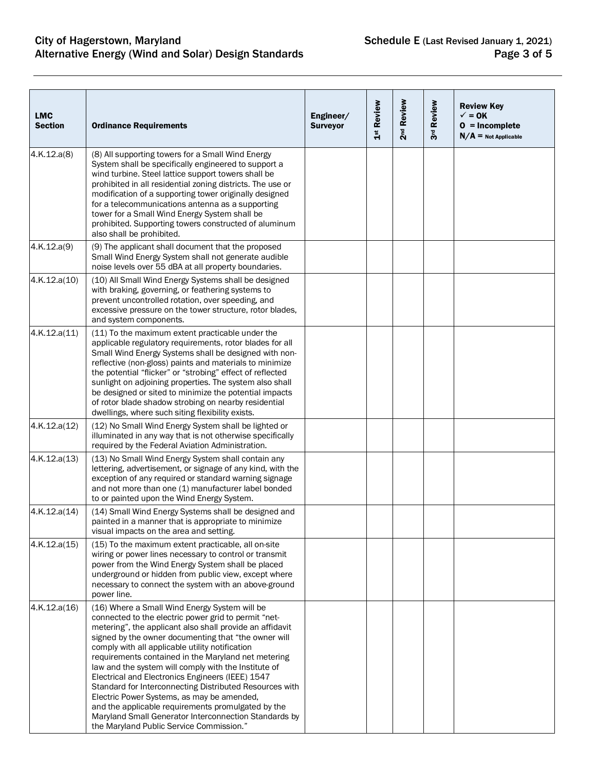| <b>LMC</b><br><b>Section</b> | <b>Ordinance Requirements</b>                                                                                                                                                                                                                                                                                                                                                                                                                                                                                                                                                                                                                                                                                       | Engineer/<br><b>Surveyor</b> | 1st Review | 2 <sup>nd</sup> Review | 3rd Review | <b>Review Key</b><br>$\checkmark$ = 0K<br>$0 = Incomplete$<br>$N/A$ = Not Applicable |
|------------------------------|---------------------------------------------------------------------------------------------------------------------------------------------------------------------------------------------------------------------------------------------------------------------------------------------------------------------------------------------------------------------------------------------------------------------------------------------------------------------------------------------------------------------------------------------------------------------------------------------------------------------------------------------------------------------------------------------------------------------|------------------------------|------------|------------------------|------------|--------------------------------------------------------------------------------------|
| 4.K.12.a(8)                  | (8) All supporting towers for a Small Wind Energy<br>System shall be specifically engineered to support a<br>wind turbine. Steel lattice support towers shall be<br>prohibited in all residential zoning districts. The use or<br>modification of a supporting tower originally designed<br>for a telecommunications antenna as a supporting<br>tower for a Small Wind Energy System shall be<br>prohibited. Supporting towers constructed of aluminum<br>also shall be prohibited.                                                                                                                                                                                                                                 |                              |            |                        |            |                                                                                      |
| 4.K.12.a(9)                  | (9) The applicant shall document that the proposed<br>Small Wind Energy System shall not generate audible<br>noise levels over 55 dBA at all property boundaries.                                                                                                                                                                                                                                                                                                                                                                                                                                                                                                                                                   |                              |            |                        |            |                                                                                      |
| 4.K.12.a(10)                 | (10) All Small Wind Energy Systems shall be designed<br>with braking, governing, or feathering systems to<br>prevent uncontrolled rotation, over speeding, and<br>excessive pressure on the tower structure, rotor blades,<br>and system components.                                                                                                                                                                                                                                                                                                                                                                                                                                                                |                              |            |                        |            |                                                                                      |
| 4.K.12.a(11)                 | (11) To the maximum extent practicable under the<br>applicable regulatory requirements, rotor blades for all<br>Small Wind Energy Systems shall be designed with non-<br>reflective (non-gloss) paints and materials to minimize<br>the potential "flicker" or "strobing" effect of reflected<br>sunlight on adjoining properties. The system also shall<br>be designed or sited to minimize the potential impacts<br>of rotor blade shadow strobing on nearby residential<br>dwellings, where such siting flexibility exists.                                                                                                                                                                                      |                              |            |                        |            |                                                                                      |
| 4.K.12.a(12)                 | (12) No Small Wind Energy System shall be lighted or<br>illuminated in any way that is not otherwise specifically<br>required by the Federal Aviation Administration.                                                                                                                                                                                                                                                                                                                                                                                                                                                                                                                                               |                              |            |                        |            |                                                                                      |
| 4.K.12.a(13)                 | (13) No Small Wind Energy System shall contain any<br>lettering, advertisement, or signage of any kind, with the<br>exception of any required or standard warning signage<br>and not more than one (1) manufacturer label bonded<br>to or painted upon the Wind Energy System.                                                                                                                                                                                                                                                                                                                                                                                                                                      |                              |            |                        |            |                                                                                      |
| 4.K.12.a(14)                 | (14) Small Wind Energy Systems shall be designed and<br>painted in a manner that is appropriate to minimize<br>visual impacts on the area and setting.                                                                                                                                                                                                                                                                                                                                                                                                                                                                                                                                                              |                              |            |                        |            |                                                                                      |
| 4.K.12.a(15)                 | (15) To the maximum extent practicable, all on-site<br>wiring or power lines necessary to control or transmit<br>power from the Wind Energy System shall be placed<br>underground or hidden from public view, except where<br>necessary to connect the system with an above-ground<br>power line.                                                                                                                                                                                                                                                                                                                                                                                                                   |                              |            |                        |            |                                                                                      |
| 4.K.12.a(16)                 | (16) Where a Small Wind Energy System will be<br>connected to the electric power grid to permit "net-<br>metering", the applicant also shall provide an affidavit<br>signed by the owner documenting that "the owner will<br>comply with all applicable utility notification<br>requirements contained in the Maryland net metering<br>law and the system will comply with the Institute of<br>Electrical and Electronics Engineers (IEEE) 1547<br>Standard for Interconnecting Distributed Resources with<br>Electric Power Systems, as may be amended,<br>and the applicable requirements promulgated by the<br>Maryland Small Generator Interconnection Standards by<br>the Maryland Public Service Commission." |                              |            |                        |            |                                                                                      |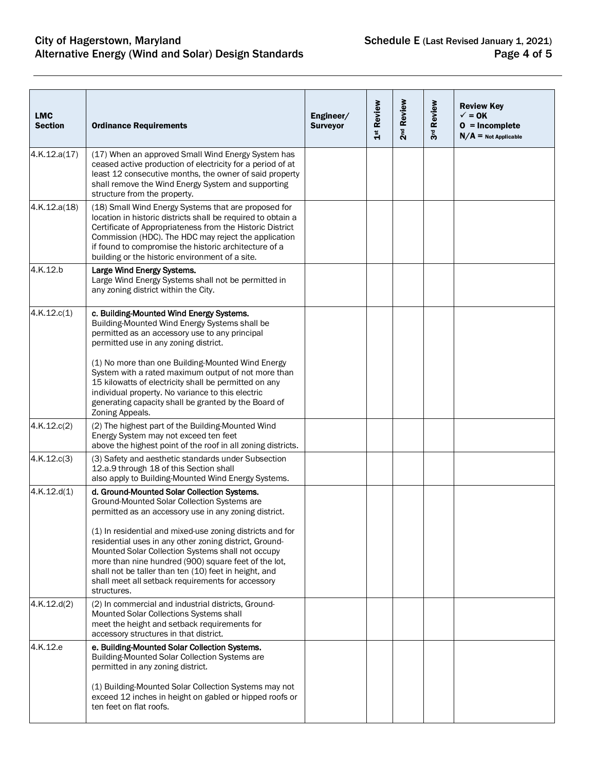| <b>Ordinance Requirements</b>                                                                                                                                                                                                                                                                                                                         | Engineer/<br><b>Surveyor</b> | 1st Review | 2 <sup>nd</sup> Review | 3rd Review | <b>Review Key</b><br>$\checkmark$ = 0K<br>$0 = Incomplete$<br>$N/A$ = Not Applicable |
|-------------------------------------------------------------------------------------------------------------------------------------------------------------------------------------------------------------------------------------------------------------------------------------------------------------------------------------------------------|------------------------------|------------|------------------------|------------|--------------------------------------------------------------------------------------|
| (17) When an approved Small Wind Energy System has<br>ceased active production of electricity for a period of at<br>least 12 consecutive months, the owner of said property<br>shall remove the Wind Energy System and supporting<br>structure from the property.                                                                                     |                              |            |                        |            |                                                                                      |
| (18) Small Wind Energy Systems that are proposed for<br>location in historic districts shall be required to obtain a<br>Certificate of Appropriateness from the Historic District<br>Commission (HDC). The HDC may reject the application<br>if found to compromise the historic architecture of a<br>building or the historic environment of a site. |                              |            |                        |            |                                                                                      |
| Large Wind Energy Systems.<br>Large Wind Energy Systems shall not be permitted in<br>any zoning district within the City.                                                                                                                                                                                                                             |                              |            |                        |            |                                                                                      |
| c. Building-Mounted Wind Energy Systems.<br>Building-Mounted Wind Energy Systems shall be<br>permitted as an accessory use to any principal<br>permitted use in any zoning district.                                                                                                                                                                  |                              |            |                        |            |                                                                                      |
| (1) No more than one Building-Mounted Wind Energy<br>System with a rated maximum output of not more than<br>15 kilowatts of electricity shall be permitted on any<br>individual property. No variance to this electric<br>generating capacity shall be granted by the Board of<br>Zoning Appeals.                                                     |                              |            |                        |            |                                                                                      |
| (2) The highest part of the Building-Mounted Wind<br>Energy System may not exceed ten feet<br>above the highest point of the roof in all zoning districts.                                                                                                                                                                                            |                              |            |                        |            |                                                                                      |
| (3) Safety and aesthetic standards under Subsection<br>12.a.9 through 18 of this Section shall<br>also apply to Building-Mounted Wind Energy Systems.                                                                                                                                                                                                 |                              |            |                        |            |                                                                                      |
| d. Ground-Mounted Solar Collection Systems.<br>Ground-Mounted Solar Collection Systems are<br>permitted as an accessory use in any zoning district.<br>(1) In residential and mixed-use zoning districts and for<br>residential uses in any other zoning district, Ground-<br>Mounted Solar Collection Systems shall not occupy                       |                              |            |                        |            |                                                                                      |
| more than nine hundred (900) square feet of the lot,<br>shall not be taller than ten (10) feet in height, and<br>shall meet all setback requirements for accessory<br>structures.                                                                                                                                                                     |                              |            |                        |            |                                                                                      |
| (2) In commercial and industrial districts, Ground-<br>Mounted Solar Collections Systems shall<br>meet the height and setback requirements for<br>accessory structures in that district.                                                                                                                                                              |                              |            |                        |            |                                                                                      |
| e. Building-Mounted Solar Collection Systems.<br>Building-Mounted Solar Collection Systems are<br>permitted in any zoning district.<br>(1) Building-Mounted Solar Collection Systems may not<br>exceed 12 inches in height on gabled or hipped roofs or<br>ten feet on flat roofs.                                                                    |                              |            |                        |            |                                                                                      |
|                                                                                                                                                                                                                                                                                                                                                       |                              |            |                        |            |                                                                                      |